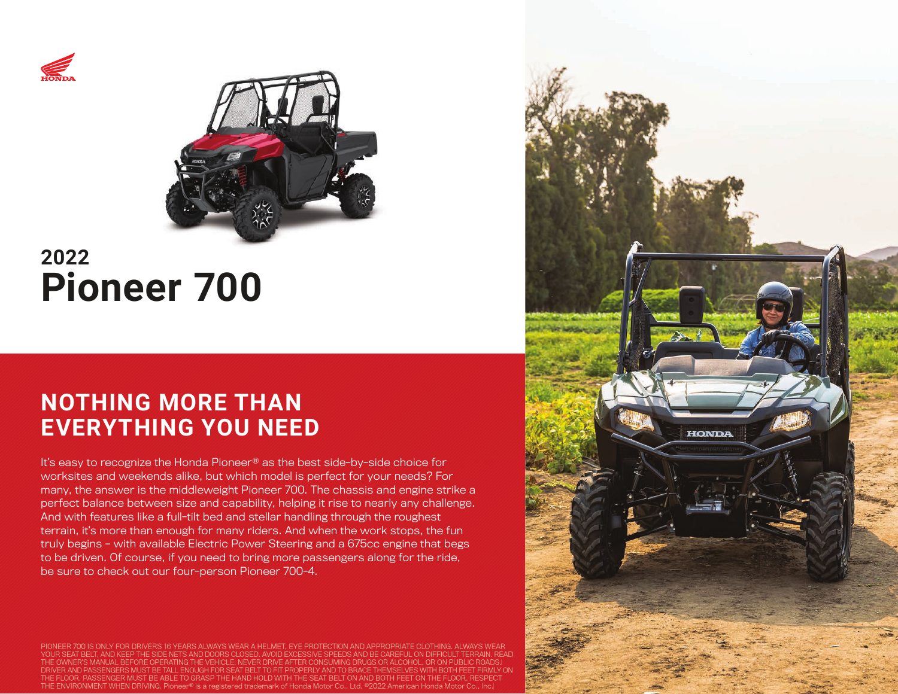



# **2022 Pioneer 700**

## **NOTHING MORE THAN EVERYTHING YOU NEED**

It's easy to recognize the Honda Pioneer® as the best side-by-side choice for worksites and weekends alike, but which model is perfect for your needs? For many, the answer is the middleweight Pioneer 700. The chassis and engine strike a perfect balance between size and capability, helping it rise to nearly any challenge. And with features like a full-tilt bed and stellar handling through the roughest terrain, it's more than enough for many riders. And when the work stops, the fun truly begins – with available Electric Power Steering and a 675cc engine that begs to be driven. Of course, if you need to bring more passengers along for the ride, be sure to check out our four-person Pioneer 700-4.

00 IS ONLY FOR DRIVERS 16 YEARS ALWAYS WEAR A HELMET, EYE PROTECTION AND APPROPRIATE CLOTHING. YOUR SEAT AND KEEP THE SIDE NETS AND DOORS CLOSED. AVOID EXCESSIVE SPEEDS AND BE CAREFUL ON DIFFICULT TERRAIN. THE OWNER'S MANUAL BEFORE OPERATING THE VEHICLE. NEVER DRIVE AFTER CONSUMING DRUGS OR ALCOHOL, OR ON PUBLIC ROADS. IUST BE TALL ENOUGH FOR SEAT BELT TO FIT PROPERLY AND TO BRACE OR. PASSENGER MUST BE ABLE TO GRASP THE HAND HOLD WITH THE SEAT BELT ON AND BOTH FEET ON THE FLOOR.  $T_{\rm H}$ INING. Pioneer® is a registered trademark of Honda Motor Co., Ltd. ©2022 America

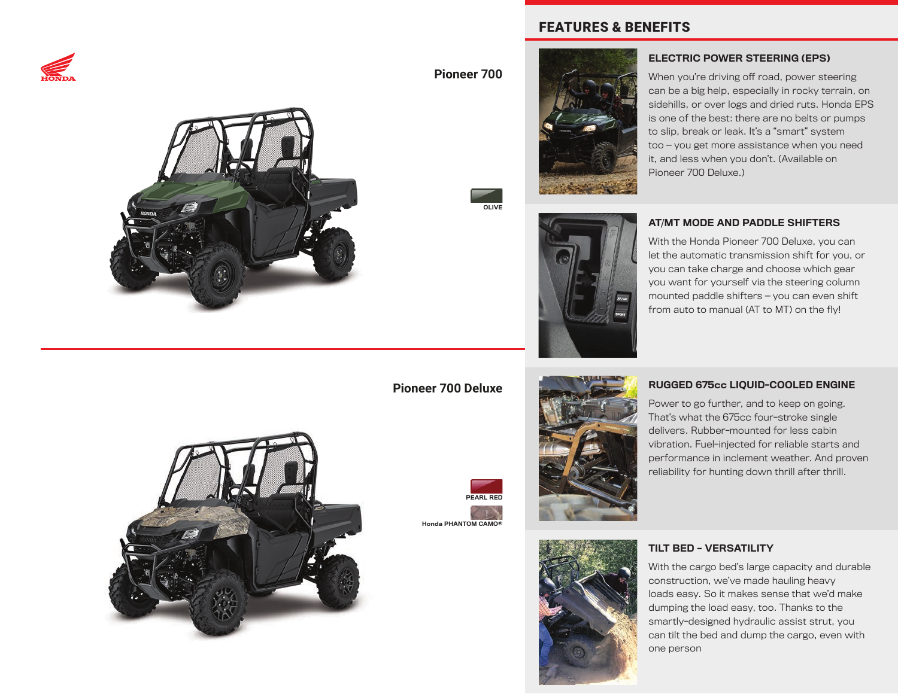



**Pioneer 700**

OLIVE



FEATURES & BENEFITS

### ELECTRIC POWER STEERING (EPS)

When you're driving off road, power steering can be a big help, especially in rocky terrain, on sidehills, or over logs and dried ruts. Honda EPS is one of the best: there are no belts or pumps to slip, break or leak. It's a "smart" system too — you get more assistance when you need it, and less when you don't. (Available on Pioneer 700 Deluxe.)

#### AT/MT MODE AND PADDLE SHIFTERS

With the Honda Pioneer 700 Deluxe, you can let the automatic transmission shift for you, or you can take charge and choose which gear you want for yourself via the steering column mounted paddle shifters — you can even shift from auto to manual ( $AT$  to  $MT$ ) on the  $f(v)$ !

### **Pioneer 700 Deluxe**





#### RUGGED 675cc LIQUID-COOLED ENGINE

Power to go further, and to keep on going. That's what the 675cc four-stroke single delivers. Rubber-mounted for less cabin vibration. Fuel-injected for reliable starts and performance in inclement weather. And proven reliability for hunting down thrill after thrill.



#### TILT BED – VERSATILITY

With the cargo bed's large capacity and durable construction, we've made hauling heavy loads easy. So it makes sense that we'd make dumping the load easy, too. Thanks to the smartly-designed hydraulic assist strut, you can tilt the bed and dump the cargo, even with one person

PEARL RED

Honda PHANTOM CAMO®